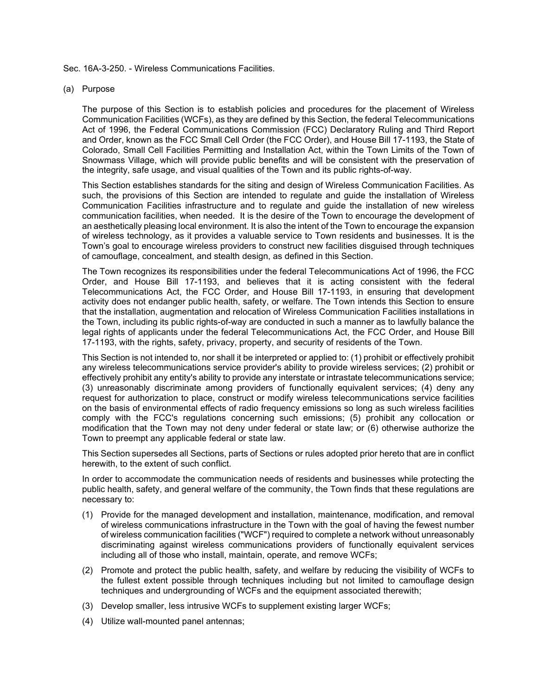Sec. 16A-3-250. - Wireless Communications Facilities.

## (a) Purpose

The purpose of this Section is to establish policies and procedures for the placement of Wireless Communication Facilities (WCFs), as they are defined by this Section, the federal Telecommunications Act of 1996, the Federal Communications Commission (FCC) Declaratory Ruling and Third Report and Order, known as the FCC Small Cell Order (the FCC Order), and House Bill 17-1193, the State of Colorado, Small Cell Facilities Permitting and Installation Act, within the Town Limits of the Town of Snowmass Village, which will provide public benefits and will be consistent with the preservation of the integrity, safe usage, and visual qualities of the Town and its public rights-of-way.

This Section establishes standards for the siting and design of Wireless Communication Facilities. As such, the provisions of this Section are intended to regulate and guide the installation of Wireless Communication Facilities infrastructure and to regulate and guide the installation of new wireless communication facilities, when needed. It is the desire of the Town to encourage the development of an aesthetically pleasing local environment. It is also the intent of the Town to encourage the expansion of wireless technology, as it provides a valuable service to Town residents and businesses. It is the Town's goal to encourage wireless providers to construct new facilities disguised through techniques of camouflage, concealment, and stealth design, as defined in this Section.

The Town recognizes its responsibilities under the federal Telecommunications Act of 1996, the FCC Order, and House Bill 17-1193, and believes that it is acting consistent with the federal Telecommunications Act, the FCC Order, and House Bill 17-1193, in ensuring that development activity does not endanger public health, safety, or welfare. The Town intends this Section to ensure that the installation, augmentation and relocation of Wireless Communication Facilities installations in the Town, including its public rights-of-way are conducted in such a manner as to lawfully balance the legal rights of applicants under the federal Telecommunications Act, the FCC Order, and House Bill 17-1193, with the rights, safety, privacy, property, and security of residents of the Town.

This Section is not intended to, nor shall it be interpreted or applied to: (1) prohibit or effectively prohibit any wireless telecommunications service provider's ability to provide wireless services; (2) prohibit or effectively prohibit any entity's ability to provide any interstate or intrastate telecommunications service; (3) unreasonably discriminate among providers of functionally equivalent services; (4) deny any request for authorization to place, construct or modify wireless telecommunications service facilities on the basis of environmental effects of radio frequency emissions so long as such wireless facilities comply with the FCC's regulations concerning such emissions; (5) prohibit any collocation or modification that the Town may not deny under federal or state law; or (6) otherwise authorize the Town to preempt any applicable federal or state law.

This Section supersedes all Sections, parts of Sections or rules adopted prior hereto that are in conflict herewith, to the extent of such conflict.

In order to accommodate the communication needs of residents and businesses while protecting the public health, safety, and general welfare of the community, the Town finds that these regulations are necessary to:

- (1) Provide for the managed development and installation, maintenance, modification, and removal of wireless communications infrastructure in the Town with the goal of having the fewest number of wireless communication facilities ("WCF") required to complete a network without unreasonably discriminating against wireless communications providers of functionally equivalent services including all of those who install, maintain, operate, and remove WCFs;
- (2) Promote and protect the public health, safety, and welfare by reducing the visibility of WCFs to the fullest extent possible through techniques including but not limited to camouflage design techniques and undergrounding of WCFs and the equipment associated therewith;
- (3) Develop smaller, less intrusive WCFs to supplement existing larger WCFs;
- (4) Utilize wall-mounted panel antennas;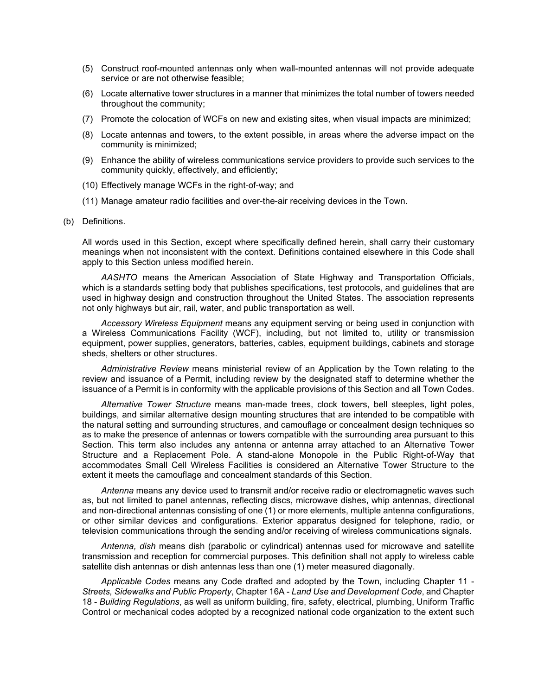- (5) Construct roof-mounted antennas only when wall-mounted antennas will not provide adequate service or are not otherwise feasible;
- (6) Locate alternative tower structures in a manner that minimizes the total number of towers needed throughout the community;
- (7) Promote the colocation of WCFs on new and existing sites, when visual impacts are minimized;
- (8) Locate antennas and towers, to the extent possible, in areas where the adverse impact on the community is minimized;
- (9) Enhance the ability of wireless communications service providers to provide such services to the community quickly, effectively, and efficiently;
- (10) Effectively manage WCFs in the right-of-way; and
- (11) Manage amateur radio facilities and over-the-air receiving devices in the Town.
- (b) Definitions.

All words used in this Section, except where specifically defined herein, shall carry their customary meanings when not inconsistent with the context. Definitions contained elsewhere in this Code shall apply to this Section unless modified herein.

*AASHTO* means the American Association of State Highway and Transportation Officials, which is a standards setting body that publishes specifications, test protocols, and guidelines that are used in highway design and construction throughout the United States. The association represents not only highways but air, rail, water, and public transportation as well.

*Accessory Wireless Equipment* means any equipment serving or being used in conjunction with a Wireless Communications Facility (WCF), including, but not limited to, utility or transmission equipment, power supplies, generators, batteries, cables, equipment buildings, cabinets and storage sheds, shelters or other structures.

*Administrative Review* means ministerial review of an Application by the Town relating to the review and issuance of a Permit, including review by the designated staff to determine whether the issuance of a Permit is in conformity with the applicable provisions of this Section and all Town Codes.

*Alternative Tower Structure* means man-made trees, clock towers, bell steeples, light poles, buildings, and similar alternative design mounting structures that are intended to be compatible with the natural setting and surrounding structures, and camouflage or concealment design techniques so as to make the presence of antennas or towers compatible with the surrounding area pursuant to this Section. This term also includes any antenna or antenna array attached to an Alternative Tower Structure and a Replacement Pole. A stand-alone Monopole in the Public Right-of-Way that accommodates Small Cell Wireless Facilities is considered an Alternative Tower Structure to the extent it meets the camouflage and concealment standards of this Section.

*Antenna* means any device used to transmit and/or receive radio or electromagnetic waves such as, but not limited to panel antennas, reflecting discs, microwave dishes, whip antennas, directional and non-directional antennas consisting of one (1) or more elements, multiple antenna configurations, or other similar devices and configurations. Exterior apparatus designed for telephone, radio, or television communications through the sending and/or receiving of wireless communications signals.

*Antenna, dish* means dish (parabolic or cylindrical) antennas used for microwave and satellite transmission and reception for commercial purposes. This definition shall not apply to wireless cable satellite dish antennas or dish antennas less than one (1) meter measured diagonally.

*Applicable Codes* means any Code drafted and adopted by the Town, including Chapter 11 - *Streets, Sidewalks and Public Property*, Chapter 16A - *Land Use and Development Code*, and Chapter 18 - *Building Regulations*, as well as uniform building, fire, safety, electrical, plumbing, Uniform Traffic Control or mechanical codes adopted by a recognized national code organization to the extent such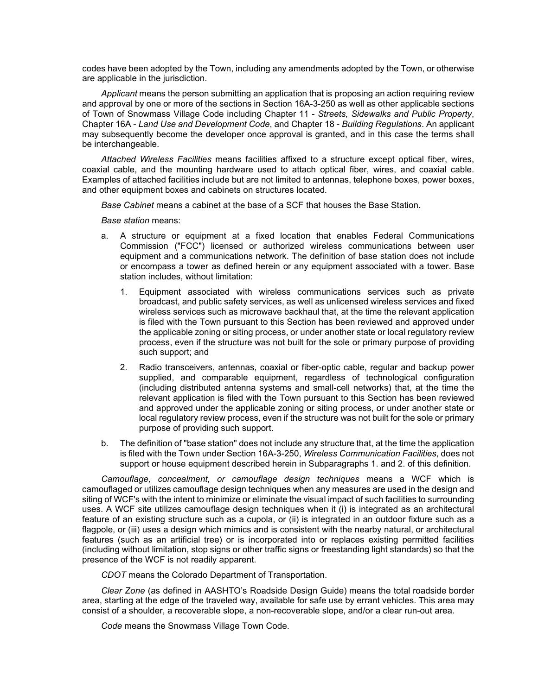codes have been adopted by the Town, including any amendments adopted by the Town, or otherwise are applicable in the jurisdiction.

*Applicant* means the person submitting an application that is proposing an action requiring review and approval by one or more of the sections in Section 16A-3-250 as well as other applicable sections of Town of Snowmass Village Code including Chapter 11 - *Streets, Sidewalks and Public Property*, Chapter 16A - *Land Use and Development Code*, and Chapter 18 - *Building Regulations*. An applicant may subsequently become the developer once approval is granted, and in this case the terms shall be interchangeable.

*Attached Wireless Facilities* means facilities affixed to a structure except optical fiber, wires, coaxial cable, and the mounting hardware used to attach optical fiber, wires, and coaxial cable. Examples of attached facilities include but are not limited to antennas, telephone boxes, power boxes, and other equipment boxes and cabinets on structures located*.* 

*Base Cabinet* means a cabinet at the base of a SCF that houses the Base Station.

*Base station* means:

- a. A structure or equipment at a fixed location that enables Federal Communications Commission ("FCC") licensed or authorized wireless communications between user equipment and a communications network. The definition of base station does not include or encompass a tower as defined herein or any equipment associated with a tower. Base station includes, without limitation:
	- 1. Equipment associated with wireless communications services such as private broadcast, and public safety services, as well as unlicensed wireless services and fixed wireless services such as microwave backhaul that, at the time the relevant application is filed with the Town pursuant to this Section has been reviewed and approved under the applicable zoning or siting process, or under another state or local regulatory review process, even if the structure was not built for the sole or primary purpose of providing such support; and
	- 2. Radio transceivers, antennas, coaxial or fiber-optic cable, regular and backup power supplied, and comparable equipment, regardless of technological configuration (including distributed antenna systems and small-cell networks) that, at the time the relevant application is filed with the Town pursuant to this Section has been reviewed and approved under the applicable zoning or siting process, or under another state or local regulatory review process, even if the structure was not built for the sole or primary purpose of providing such support.
- b. The definition of "base station" does not include any structure that, at the time the application is filed with the Town under Section 16A-3-250, *Wireless Communication Facilities*, does not support or house equipment described herein in Subparagraphs 1. and 2. of this definition.

*Camouflage, concealment, or camouflage design techniques* means a WCF which is camouflaged or utilizes camouflage design techniques when any measures are used in the design and siting of WCF's with the intent to minimize or eliminate the visual impact of such facilities to surrounding uses. A WCF site utilizes camouflage design techniques when it (i) is integrated as an architectural feature of an existing structure such as a cupola, or (ii) is integrated in an outdoor fixture such as a flagpole, or (iii) uses a design which mimics and is consistent with the nearby natural, or architectural features (such as an artificial tree) or is incorporated into or replaces existing permitted facilities (including without limitation, stop signs or other traffic signs or freestanding light standards) so that the presence of the WCF is not readily apparent.

*CDOT* means the Colorado Department of Transportation.

*Clear Zone* (as defined in AASHTO's Roadside Design Guide) means the total roadside border area, starting at the edge of the traveled way, available for safe use by errant vehicles. This area may consist of a shoulder, a recoverable slope, a non-recoverable slope, and/or a clear run-out area.

*Code* means the Snowmass Village Town Code.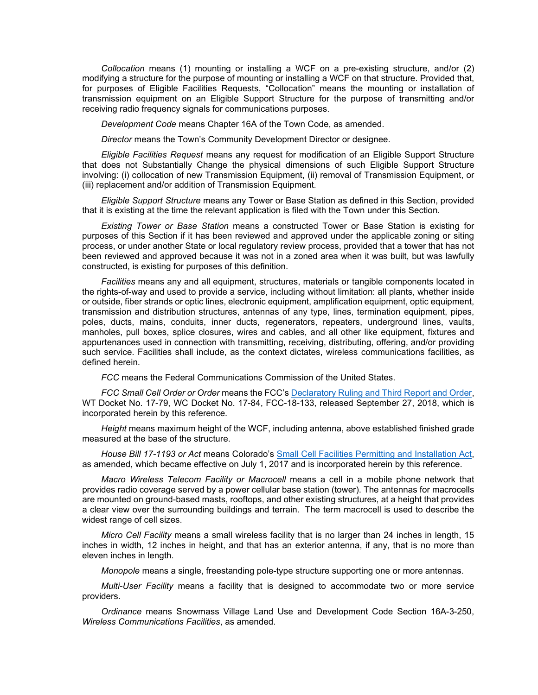*Collocation* means (1) mounting or installing a WCF on a pre-existing structure, and/or (2) modifying a structure for the purpose of mounting or installing a WCF on that structure. Provided that, for purposes of Eligible Facilities Requests, "Collocation" means the mounting or installation of transmission equipment on an Eligible Support Structure for the purpose of transmitting and/or receiving radio frequency signals for communications purposes.

*Development Code* means Chapter 16A of the Town Code, as amended.

*Director* means the Town's Community Development Director or designee.

*Eligible Facilities Request* means any request for modification of an Eligible Support Structure that does not Substantially Change the physical dimensions of such Eligible Support Structure involving: (i) collocation of new Transmission Equipment, (ii) removal of Transmission Equipment, or (iii) replacement and/or addition of Transmission Equipment*.*

*Eligible Support Structure* means any Tower or Base Station as defined in this Section, provided that it is existing at the time the relevant application is filed with the Town under this Section*.* 

*Existing Tower or Base Station* means a constructed Tower or Base Station is existing for purposes of this Section if it has been reviewed and approved under the applicable zoning or siting process, or under another State or local regulatory review process, provided that a tower that has not been reviewed and approved because it was not in a zoned area when it was built, but was lawfully constructed, is existing for purposes of this definition.

*Facilities* means any and all equipment, structures, materials or tangible components located in the rights-of-way and used to provide a service, including without limitation: all plants, whether inside or outside, fiber strands or optic lines, electronic equipment, amplification equipment, optic equipment, transmission and distribution structures, antennas of any type, lines, termination equipment, pipes, poles, ducts, mains, conduits, inner ducts, regenerators, repeaters, underground lines, vaults, manholes, pull boxes, splice closures, wires and cables, and all other like equipment, fixtures and appurtenances used in connection with transmitting, receiving, distributing, offering, and/or providing such service. Facilities shall include, as the context dictates, wireless communications facilities, as defined herein.

*FCC* means the Federal Communications Commission of the United States.

*FCC Small Cell Order or Order* means the FCC's [Declaratory Ruling and Third Report and Order,](https://docs.fcc.gov/public/attachments/FCC-18-133A1.pdf) WT Docket No. 17-79, WC Docket No. 17-84, FCC-18-133, released September 27, 2018, which is incorporated herein by this reference*.* 

*Height* means maximum height of the WCF, including antenna, above established finished grade measured at the base of the structure.

*House Bill 17-1193 or Act* means Colorado's [Small Cell Facilities Permitting and Installation Act,](https://leg.colorado.gov/sites/default/files/2017a_1193_signed.pdf) as amended, which became effective on July 1, 2017 and is incorporated herein by this reference.

*Macro Wireless Telecom Facility or Macrocell* means a cell in a mobile phone network that provides radio coverage served by a power cellular base station (tower). The antennas for macrocells are mounted on ground-based masts, rooftops, and other existing structures, at a height that provides a clear view over the surrounding buildings and terrain. The term macrocell is used to describe the widest range of cell sizes.

*Micro Cell Facility* means a small wireless facility that is no larger than 24 inches in length, 15 inches in width, 12 inches in height, and that has an exterior antenna, if any, that is no more than eleven inches in length.

*Monopole* means a single, freestanding pole-type structure supporting one or more antennas.

*Multi-User Facility* means a facility that is designed to accommodate two or more service providers.

*Ordinance* means Snowmass Village Land Use and Development Code Section 16A-3-250, *Wireless Communications Facilities*, as amended.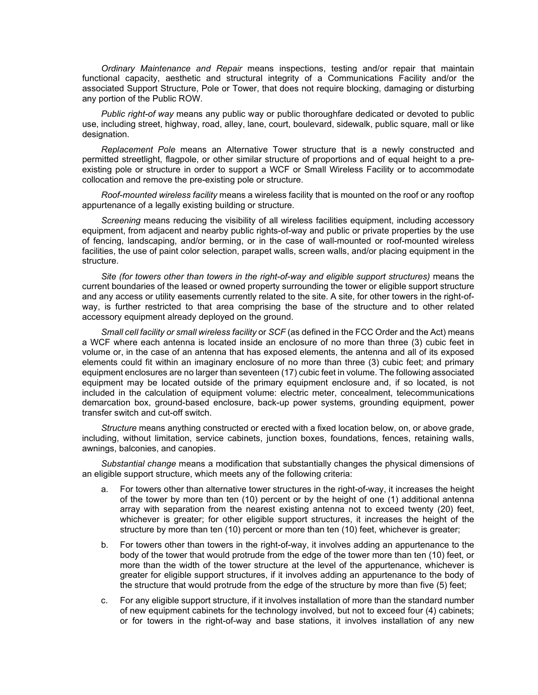*Ordinary Maintenance and Repair* means inspections, testing and/or repair that maintain functional capacity, aesthetic and structural integrity of a Communications Facility and/or the associated Support Structure, Pole or Tower, that does not require blocking, damaging or disturbing any portion of the Public ROW.

*Public right-of way* means any public way or public thoroughfare dedicated or devoted to public use, including street, highway, road, alley, lane, court, boulevard, sidewalk, public square, mall or like designation.

*Replacement Pole* means an Alternative Tower structure that is a newly constructed and permitted streetlight, flagpole, or other similar structure of proportions and of equal height to a preexisting pole or structure in order to support a WCF or Small Wireless Facility or to accommodate collocation and remove the pre-existing pole or structure.

*Roof-mounted wireless facility* means a wireless facility that is mounted on the roof or any rooftop appurtenance of a legally existing building or structure.

*Screening* means reducing the visibility of all wireless facilities equipment, including accessory equipment, from adjacent and nearby public rights-of-way and public or private properties by the use of fencing, landscaping, and/or berming, or in the case of wall-mounted or roof-mounted wireless facilities, the use of paint color selection, parapet walls, screen walls, and/or placing equipment in the structure.

*Site (for towers other than towers in the right-of-way and eligible support structures)* means the current boundaries of the leased or owned property surrounding the tower or eligible support structure and any access or utility easements currently related to the site. A site, for other towers in the right-ofway, is further restricted to that area comprising the base of the structure and to other related accessory equipment already deployed on the ground.

*Small cell facility or small wireless facility* or *SCF* (as defined in the FCC Order and the Act) means a WCF where each antenna is located inside an enclosure of no more than three (3) cubic feet in volume or, in the case of an antenna that has exposed elements, the antenna and all of its exposed elements could fit within an imaginary enclosure of no more than three (3) cubic feet; and primary equipment enclosures are no larger than seventeen (17) cubic feet in volume. The following associated equipment may be located outside of the primary equipment enclosure and, if so located, is not included in the calculation of equipment volume: electric meter, concealment, telecommunications demarcation box, ground-based enclosure, back-up power systems, grounding equipment, power transfer switch and cut-off switch.

*Structure* means anything constructed or erected with a fixed location below, on, or above grade, including, without limitation, service cabinets, junction boxes, foundations, fences, retaining walls, awnings, balconies, and canopies.

*Substantial change* means a modification that substantially changes the physical dimensions of an eligible support structure, which meets any of the following criteria:

- a. For towers other than alternative tower structures in the right-of-way, it increases the height of the tower by more than ten (10) percent or by the height of one (1) additional antenna array with separation from the nearest existing antenna not to exceed twenty (20) feet, whichever is greater; for other eligible support structures, it increases the height of the structure by more than ten (10) percent or more than ten (10) feet, whichever is greater;
- b. For towers other than towers in the right-of-way, it involves adding an appurtenance to the body of the tower that would protrude from the edge of the tower more than ten (10) feet, or more than the width of the tower structure at the level of the appurtenance, whichever is greater for eligible support structures, if it involves adding an appurtenance to the body of the structure that would protrude from the edge of the structure by more than five (5) feet;
- c. For any eligible support structure, if it involves installation of more than the standard number of new equipment cabinets for the technology involved, but not to exceed four (4) cabinets; or for towers in the right-of-way and base stations, it involves installation of any new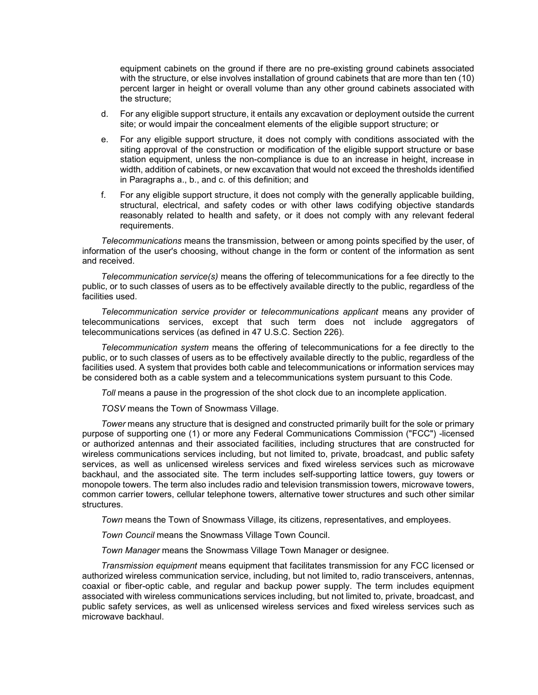equipment cabinets on the ground if there are no pre-existing ground cabinets associated with the structure, or else involves installation of ground cabinets that are more than ten (10) percent larger in height or overall volume than any other ground cabinets associated with the structure;

- d. For any eligible support structure, it entails any excavation or deployment outside the current site; or would impair the concealment elements of the eligible support structure; or
- e. For any eligible support structure, it does not comply with conditions associated with the siting approval of the construction or modification of the eligible support structure or base station equipment, unless the non-compliance is due to an increase in height, increase in width, addition of cabinets, or new excavation that would not exceed the thresholds identified in Paragraphs a., b., and c. of this definition; and
- f. For any eligible support structure, it does not comply with the generally applicable building, structural, electrical, and safety codes or with other laws codifying objective standards reasonably related to health and safety, or it does not comply with any relevant federal requirements.

*Telecommunications* means the transmission, between or among points specified by the user, of information of the user's choosing, without change in the form or content of the information as sent and received.

*Telecommunication service(s)* means the offering of telecommunications for a fee directly to the public, or to such classes of users as to be effectively available directly to the public, regardless of the facilities used.

*Telecommunication service provider* or *telecommunications applicant* means any provider of telecommunications services, except that such term does not include aggregators of telecommunications services (as defined in 47 U.S.C. Section 226).

*Telecommunication system* means the offering of telecommunications for a fee directly to the public, or to such classes of users as to be effectively available directly to the public, regardless of the facilities used. A system that provides both cable and telecommunications or information services may be considered both as a cable system and a telecommunications system pursuant to this Code.

*Toll* means a pause in the progression of the shot clock due to an incomplete application.

*TOSV* means the Town of Snowmass Village.

*Tower* means any structure that is designed and constructed primarily built for the sole or primary purpose of supporting one (1) or more any Federal Communications Commission ("FCC") -licensed or authorized antennas and their associated facilities, including structures that are constructed for wireless communications services including, but not limited to, private, broadcast, and public safety services, as well as unlicensed wireless services and fixed wireless services such as microwave backhaul, and the associated site. The term includes self-supporting lattice towers, guy towers or monopole towers. The term also includes radio and television transmission towers, microwave towers, common carrier towers, cellular telephone towers, alternative tower structures and such other similar structures.

*Town* means the Town of Snowmass Village, its citizens, representatives, and employees.

*Town Council* means the Snowmass Village Town Council.

*Town Manager* means the Snowmass Village Town Manager or designee.

*Transmission equipment* means equipment that facilitates transmission for any FCC licensed or authorized wireless communication service, including, but not limited to, radio transceivers, antennas, coaxial or fiber-optic cable, and regular and backup power supply. The term includes equipment associated with wireless communications services including, but not limited to, private, broadcast, and public safety services, as well as unlicensed wireless services and fixed wireless services such as microwave backhaul.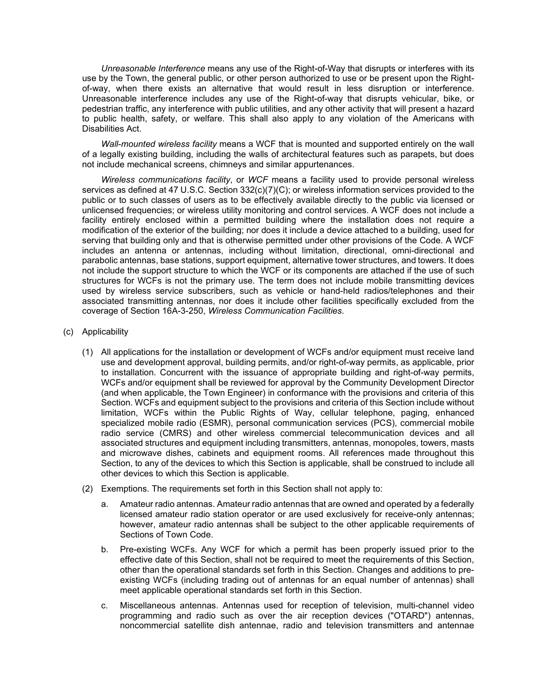*Unreasonable Interference* means any use of the Right-of-Way that disrupts or interferes with its use by the Town, the general public, or other person authorized to use or be present upon the Rightof-way, when there exists an alternative that would result in less disruption or interference. Unreasonable interference includes any use of the Right-of-way that disrupts vehicular, bike, or pedestrian traffic, any interference with public utilities, and any other activity that will present a hazard to public health, safety, or welfare. This shall also apply to any violation of the Americans with Disabilities Act.

*Wall-mounted wireless facility* means a WCF that is mounted and supported entirely on the wall of a legally existing building, including the walls of architectural features such as parapets, but does not include mechanical screens, chimneys and similar appurtenances.

*Wireless communications facility*, or *WCF* means a facility used to provide personal wireless services as defined at 47 U.S.C. Section 332(c)(7)(C); or wireless information services provided to the public or to such classes of users as to be effectively available directly to the public via licensed or unlicensed frequencies; or wireless utility monitoring and control services. A WCF does not include a facility entirely enclosed within a permitted building where the installation does not require a modification of the exterior of the building; nor does it include a device attached to a building, used for serving that building only and that is otherwise permitted under other provisions of the Code. A WCF includes an antenna or antennas, including without limitation, directional, omni-directional and parabolic antennas, base stations, support equipment, alternative tower structures, and towers. It does not include the support structure to which the WCF or its components are attached if the use of such structures for WCFs is not the primary use. The term does not include mobile transmitting devices used by wireless service subscribers, such as vehicle or hand-held radios/telephones and their associated transmitting antennas, nor does it include other facilities specifically excluded from the coverage of Section 16A-3-250, *Wireless Communication Facilities*.

- (c) Applicability
	- (1) All applications for the installation or development of WCFs and/or equipment must receive land use and development approval, building permits, and/or right-of-way permits, as applicable, prior to installation. Concurrent with the issuance of appropriate building and right-of-way permits, WCFs and/or equipment shall be reviewed for approval by the Community Development Director (and when applicable, the Town Engineer) in conformance with the provisions and criteria of this Section. WCFs and equipment subject to the provisions and criteria of this Section include without limitation, WCFs within the Public Rights of Way, cellular telephone, paging, enhanced specialized mobile radio (ESMR), personal communication services (PCS), commercial mobile radio service (CMRS) and other wireless commercial telecommunication devices and all associated structures and equipment including transmitters, antennas, monopoles, towers, masts and microwave dishes, cabinets and equipment rooms. All references made throughout this Section, to any of the devices to which this Section is applicable, shall be construed to include all other devices to which this Section is applicable.
	- (2) Exemptions. The requirements set forth in this Section shall not apply to:
		- a. Amateur radio antennas. Amateur radio antennas that are owned and operated by a federally licensed amateur radio station operator or are used exclusively for receive-only antennas; however, amateur radio antennas shall be subject to the other applicable requirements of Sections of Town Code.
		- b. Pre-existing WCFs. Any WCF for which a permit has been properly issued prior to the effective date of this Section, shall not be required to meet the requirements of this Section, other than the operational standards set forth in this Section. Changes and additions to preexisting WCFs (including trading out of antennas for an equal number of antennas) shall meet applicable operational standards set forth in this Section.
		- c. Miscellaneous antennas. Antennas used for reception of television, multi-channel video programming and radio such as over the air reception devices ("OTARD") antennas, noncommercial satellite dish antennae, radio and television transmitters and antennae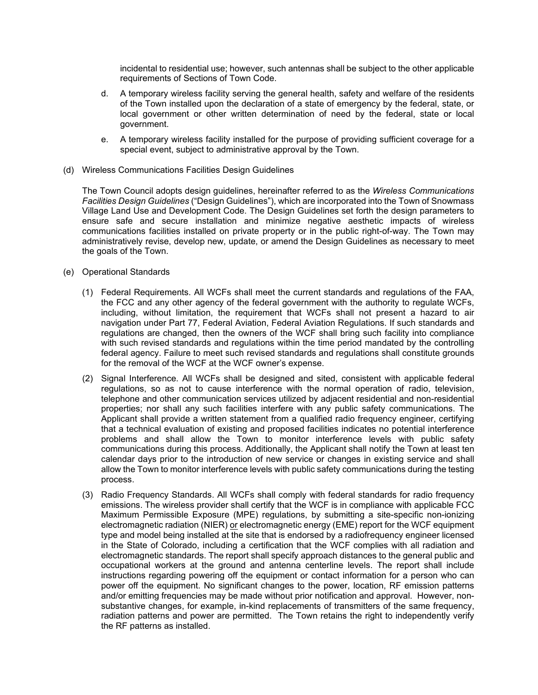incidental to residential use; however, such antennas shall be subject to the other applicable requirements of Sections of Town Code.

- d. A temporary wireless facility serving the general health, safety and welfare of the residents of the Town installed upon the declaration of a state of emergency by the federal, state, or local government or other written determination of need by the federal, state or local government.
- e. A temporary wireless facility installed for the purpose of providing sufficient coverage for a special event, subject to administrative approval by the Town.
- (d) Wireless Communications Facilities Design Guidelines

The Town Council adopts design guidelines, hereinafter referred to as the *Wireless Communications Facilities Design Guidelines* ("Design Guidelines"), which are incorporated into the Town of Snowmass Village Land Use and Development Code. The Design Guidelines set forth the design parameters to ensure safe and secure installation and minimize negative aesthetic impacts of wireless communications facilities installed on private property or in the public right-of-way. The Town may administratively revise, develop new, update, or amend the Design Guidelines as necessary to meet the goals of the Town.

- (e) Operational Standards
	- (1) Federal Requirements. All WCFs shall meet the current standards and regulations of the FAA, the FCC and any other agency of the federal government with the authority to regulate WCFs, including, without limitation, the requirement that WCFs shall not present a hazard to air navigation under Part 77, Federal Aviation, Federal Aviation Regulations. If such standards and regulations are changed, then the owners of the WCF shall bring such facility into compliance with such revised standards and regulations within the time period mandated by the controlling federal agency. Failure to meet such revised standards and regulations shall constitute grounds for the removal of the WCF at the WCF owner's expense.
	- (2) Signal Interference. All WCFs shall be designed and sited, consistent with applicable federal regulations, so as not to cause interference with the normal operation of radio, television, telephone and other communication services utilized by adjacent residential and non-residential properties; nor shall any such facilities interfere with any public safety communications. The Applicant shall provide a written statement from a qualified radio frequency engineer, certifying that a technical evaluation of existing and proposed facilities indicates no potential interference problems and shall allow the Town to monitor interference levels with public safety communications during this process. Additionally, the Applicant shall notify the Town at least ten calendar days prior to the introduction of new service or changes in existing service and shall allow the Town to monitor interference levels with public safety communications during the testing process.
	- (3) Radio Frequency Standards. All WCFs shall comply with federal standards for radio frequency emissions. The wireless provider shall certify that the WCF is in compliance with applicable FCC Maximum Permissible Exposure (MPE) regulations, by submitting a site-specific non-ionizing electromagnetic radiation (NIER) or electromagnetic energy (EME) report for the WCF equipment type and model being installed at the site that is endorsed by a radiofrequency engineer licensed in the State of Colorado, including a certification that the WCF complies with all radiation and electromagnetic standards. The report shall specify approach distances to the general public and occupational workers at the ground and antenna centerline levels. The report shall include instructions regarding powering off the equipment or contact information for a person who can power off the equipment. No significant changes to the power, location, RF emission patterns and/or emitting frequencies may be made without prior notification and approval. However, nonsubstantive changes, for example, in-kind replacements of transmitters of the same frequency, radiation patterns and power are permitted. The Town retains the right to independently verify the RF patterns as installed.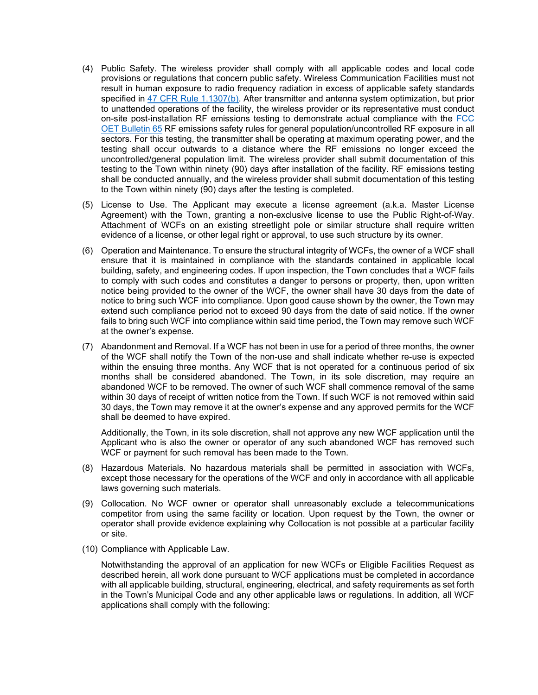- (4) Public Safety. The wireless provider shall comply with all applicable codes and local code provisions or regulations that concern public safety. Wireless Communication Facilities must not result in human exposure to radio frequency radiation in excess of applicable safety standards specified in [47 CFR Rule 1.1307\(b\).](https://www.govinfo.gov/content/pkg/CFR-2013-title47-vol1/pdf/CFR-2013-title47-vol1-sec1-1307.pdf) After transmitter and antenna system optimization, but prior to unattended operations of the facility, the wireless provider or its representative must conduct on-site post-installation RF emissions testing to demonstrate actual compliance with the [FCC](https://transition.fcc.gov/Bureaus/Engineering_Technology/Documents/bulletins/oet65/oet65.pdf) [OET Bulletin 65](https://transition.fcc.gov/Bureaus/Engineering_Technology/Documents/bulletins/oet65/oet65.pdf) RF emissions safety rules for general population/uncontrolled RF exposure in all sectors. For this testing, the transmitter shall be operating at maximum operating power, and the testing shall occur outwards to a distance where the RF emissions no longer exceed the uncontrolled/general population limit. The wireless provider shall submit documentation of this testing to the Town within ninety (90) days after installation of the facility. RF emissions testing shall be conducted annually, and the wireless provider shall submit documentation of this testing to the Town within ninety (90) days after the testing is completed.
- (5) License to Use. The Applicant may execute a license agreement (a.k.a. Master License Agreement) with the Town, granting a non-exclusive license to use the Public Right-of-Way. Attachment of WCFs on an existing streetlight pole or similar structure shall require written evidence of a license, or other legal right or approval, to use such structure by its owner.
- (6) Operation and Maintenance. To ensure the structural integrity of WCFs, the owner of a WCF shall ensure that it is maintained in compliance with the standards contained in applicable local building, safety, and engineering codes. If upon inspection, the Town concludes that a WCF fails to comply with such codes and constitutes a danger to persons or property, then, upon written notice being provided to the owner of the WCF, the owner shall have 30 days from the date of notice to bring such WCF into compliance. Upon good cause shown by the owner, the Town may extend such compliance period not to exceed 90 days from the date of said notice. If the owner fails to bring such WCF into compliance within said time period, the Town may remove such WCF at the owner's expense.
- (7) Abandonment and Removal. If a WCF has not been in use for a period of three months, the owner of the WCF shall notify the Town of the non-use and shall indicate whether re-use is expected within the ensuing three months. Any WCF that is not operated for a continuous period of six months shall be considered abandoned. The Town, in its sole discretion, may require an abandoned WCF to be removed. The owner of such WCF shall commence removal of the same within 30 days of receipt of written notice from the Town. If such WCF is not removed within said 30 days, the Town may remove it at the owner's expense and any approved permits for the WCF shall be deemed to have expired.

Additionally, the Town, in its sole discretion, shall not approve any new WCF application until the Applicant who is also the owner or operator of any such abandoned WCF has removed such WCF or payment for such removal has been made to the Town.

- (8) Hazardous Materials. No hazardous materials shall be permitted in association with WCFs, except those necessary for the operations of the WCF and only in accordance with all applicable laws governing such materials.
- (9) Collocation. No WCF owner or operator shall unreasonably exclude a telecommunications competitor from using the same facility or location. Upon request by the Town, the owner or operator shall provide evidence explaining why Collocation is not possible at a particular facility or site.
- (10) Compliance with Applicable Law.

Notwithstanding the approval of an application for new WCFs or Eligible Facilities Request as described herein, all work done pursuant to WCF applications must be completed in accordance with all applicable building, structural, engineering, electrical, and safety requirements as set forth in the Town's Municipal Code and any other applicable laws or regulations. In addition, all WCF applications shall comply with the following: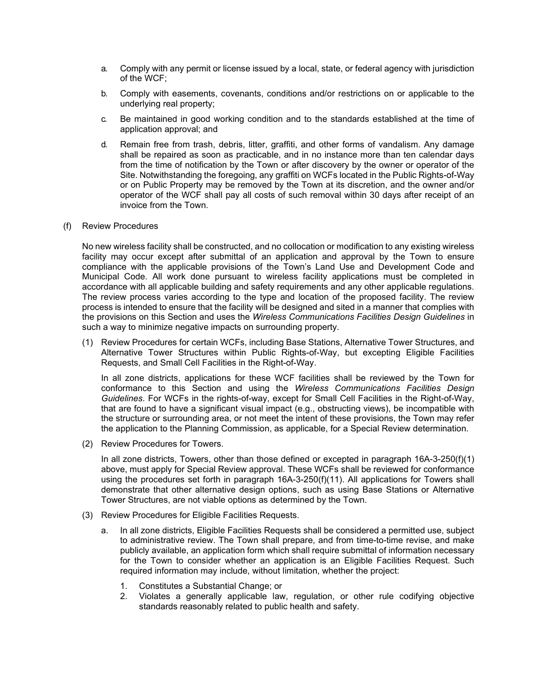- a. Comply with any permit or license issued by a local, state, or federal agency with jurisdiction of the WCF;
- b. Comply with easements, covenants, conditions and/or restrictions on or applicable to the underlying real property;
- c. Be maintained in good working condition and to the standards established at the time of application approval; and
- d. Remain free from trash, debris, litter, graffiti, and other forms of vandalism. Any damage shall be repaired as soon as practicable, and in no instance more than ten calendar days from the time of notification by the Town or after discovery by the owner or operator of the Site. Notwithstanding the foregoing, any graffiti on WCFs located in the Public Rights-of-Way or on Public Property may be removed by the Town at its discretion, and the owner and/or operator of the WCF shall pay all costs of such removal within 30 days after receipt of an invoice from the Town.

## (f) Review Procedures

No new wireless facility shall be constructed, and no collocation or modification to any existing wireless facility may occur except after submittal of an application and approval by the Town to ensure compliance with the applicable provisions of the Town's Land Use and Development Code and Municipal Code. All work done pursuant to wireless facility applications must be completed in accordance with all applicable building and safety requirements and any other applicable regulations. The review process varies according to the type and location of the proposed facility. The review process is intended to ensure that the facility will be designed and sited in a manner that complies with the provisions on this Section and uses the *Wireless Communications Facilities Design Guidelines* in such a way to minimize negative impacts on surrounding property.

(1) Review Procedures for certain WCFs, including Base Stations, Alternative Tower Structures, and Alternative Tower Structures within Public Rights-of-Way, but excepting Eligible Facilities Requests, and Small Cell Facilities in the Right-of-Way.

In all zone districts, applications for these WCF facilities shall be reviewed by the Town for conformance to this Section and using the *Wireless Communications Facilities Design Guidelines*. For WCFs in the rights-of-way, except for Small Cell Facilities in the Right-of-Way, that are found to have a significant visual impact (e.g., obstructing views), be incompatible with the structure or surrounding area, or not meet the intent of these provisions, the Town may refer the application to the Planning Commission, as applicable, for a Special Review determination.

(2) Review Procedures for Towers.

In all zone districts, Towers, other than those defined or excepted in paragraph 16A-3-250(f)(1) above, must apply for Special Review approval. These WCFs shall be reviewed for conformance using the procedures set forth in paragraph 16A-3-250(f)(11). All applications for Towers shall demonstrate that other alternative design options, such as using Base Stations or Alternative Tower Structures, are not viable options as determined by the Town.

- (3) Review Procedures for Eligible Facilities Requests.
	- a. In all zone districts, Eligible Facilities Requests shall be considered a permitted use, subject to administrative review. The Town shall prepare, and from time-to-time revise, and make publicly available, an application form which shall require submittal of information necessary for the Town to consider whether an application is an Eligible Facilities Request. Such required information may include, without limitation, whether the project:
		- 1. Constitutes a Substantial Change; or
		- 2. Violates a generally applicable law, regulation, or other rule codifying objective standards reasonably related to public health and safety.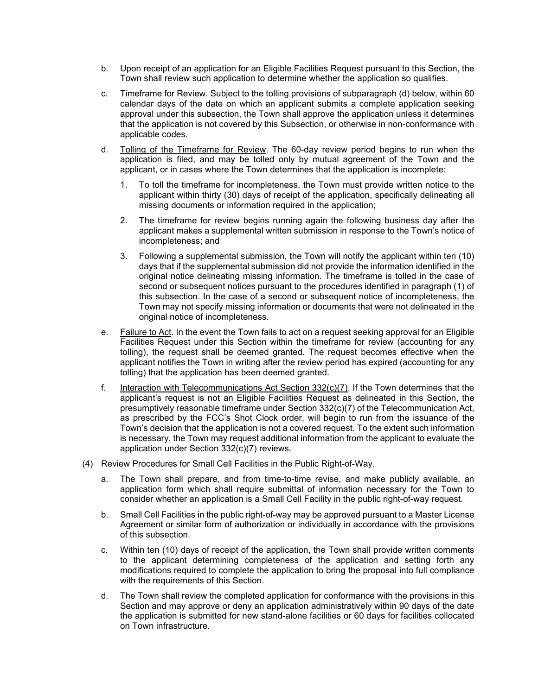- b. Upon receipt of an application for an Eligible Facilities Request pursuant to this Section, the Town shall review such application to determine whether the application so qualifies.
- c. Timeframe for Review. Subject to the tolling provisions of subparagraph (d) below, within 60 calendar days of the date on which an applicant submits a complete application seeking approval under this subsection, the Town shall approve the application unless it determines that the application is not covered by this Subsection, or otherwise in non-conformance with applicable codes.
- d. Tolling of the Timeframe for Review. The 60-day review period begins to run when the application is filed, and may be tolled only by mutual agreement of the Town and the applicant, or in cases where the Town determines that the application is incomplete:
	- 1. To toll the timeframe for incompleteness, the Town must provide written notice to the applicant within thirty (30) days of receipt of the application, specifically delineating all missing documents or information required in the application;
	- 2. The timeframe for review begins running again the following business day after the applicant makes a supplemental written submission in response to the Town's notice of incompleteness; and
	- 3. Following a supplemental submission, the Town will notify the applicant within ten (10) days that if the supplemental submission did not provide the information identified in the original notice delineating missing information. The timeframe is tolled in the case of second or subsequent notices pursuant to the procedures identified in paragraph (1) of this subsection. In the case of a second or subsequent notice of incompleteness, the Town may not specify missing information or documents that were not delineated in the original notice of incompleteness.
- e. Failure to Act. In the event the Town fails to act on a request seeking approval for an Eligible Facilities Request under this Section within the timeframe for review (accounting for any tolling), the request shall be deemed granted. The request becomes effective when the applicant notifies the Town in writing after the review period has expired (accounting for any tolling) that the application has been deemed granted.
- f. Interaction with Telecommunications Act Section 332(c)(7). If the Town determines that the applicant's request is not an Eligible Facilities Request as delineated in this Section, the presumptively reasonable timeframe under Section 332(c)(7) of the Telecommunication Act, as prescribed by the FCC's Shot Clock order, will begin to run from the issuance of the Town's decision that the application is not a covered request. To the extent such information is necessary, the Town may request additional information from the applicant to evaluate the application under Section 332(c)(7) reviews.
- (4) Review Procedures for Small Cell Facilities in the Public Right-of-Way.
	- a. The Town shall prepare, and from time-to-time revise, and make publicly available, an application form which shall require submittal of information necessary for the Town to consider whether an application is a Small Cell Facility in the public right-of-way request.
	- b. Small Cell Facilities in the public right-of-way may be approved pursuant to a Master License Agreement or similar form of authorization or individually in accordance with the provisions of this subsection.
	- c. Within ten (10) days of receipt of the application, the Town shall provide written comments to the applicant determining completeness of the application and setting forth any modifications required to complete the application to bring the proposal into full compliance with the requirements of this Section.
	- d. The Town shall review the completed application for conformance with the provisions in this Section and may approve or deny an application administratively within 90 days of the date the application is submitted for new stand-alone facilities or 60 days for facilities collocated on Town infrastructure.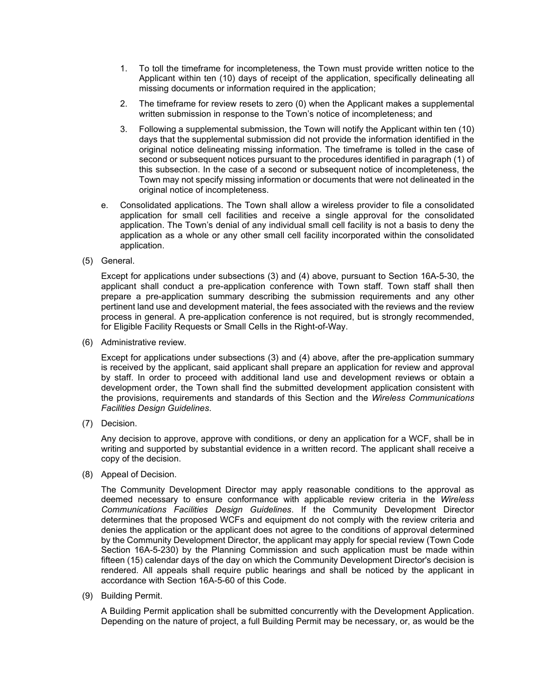- 1. To toll the timeframe for incompleteness, the Town must provide written notice to the Applicant within ten (10) days of receipt of the application, specifically delineating all missing documents or information required in the application;
- 2. The timeframe for review resets to zero (0) when the Applicant makes a supplemental written submission in response to the Town's notice of incompleteness; and
- 3. Following a supplemental submission, the Town will notify the Applicant within ten (10) days that the supplemental submission did not provide the information identified in the original notice delineating missing information. The timeframe is tolled in the case of second or subsequent notices pursuant to the procedures identified in paragraph (1) of this subsection. In the case of a second or subsequent notice of incompleteness, the Town may not specify missing information or documents that were not delineated in the original notice of incompleteness.
- e. Consolidated applications. The Town shall allow a wireless provider to file a consolidated application for small cell facilities and receive a single approval for the consolidated application. The Town's denial of any individual small cell facility is not a basis to deny the application as a whole or any other small cell facility incorporated within the consolidated application.
- (5) General.

Except for applications under subsections (3) and (4) above, pursuant to Section 16A-5-30, the applicant shall conduct a pre-application conference with Town staff. Town staff shall then prepare a pre-application summary describing the submission requirements and any other pertinent land use and development material, the fees associated with the reviews and the review process in general. A pre-application conference is not required, but is strongly recommended, for Eligible Facility Requests or Small Cells in the Right-of-Way.

(6) Administrative review.

Except for applications under subsections (3) and (4) above, after the pre-application summary is received by the applicant, said applicant shall prepare an application for review and approval by staff. In order to proceed with additional land use and development reviews or obtain a development order, the Town shall find the submitted development application consistent with the provisions, requirements and standards of this Section and the *Wireless Communications Facilities Design Guidelines*.

(7) Decision.

Any decision to approve, approve with conditions, or deny an application for a WCF, shall be in writing and supported by substantial evidence in a written record. The applicant shall receive a copy of the decision.

(8) Appeal of Decision.

The Community Development Director may apply reasonable conditions to the approval as deemed necessary to ensure conformance with applicable review criteria in the *Wireless Communications Facilities Design Guidelines*. If the Community Development Director determines that the proposed WCFs and equipment do not comply with the review criteria and denies the application or the applicant does not agree to the conditions of approval determined by the Community Development Director, the applicant may apply for special review (Town Code Section 16A-5-230) by the Planning Commission and such application must be made within fifteen (15) calendar days of the day on which the Community Development Director's decision is rendered. All appeals shall require public hearings and shall be noticed by the applicant in accordance with Section 16A-5-60 of this Code.

(9) Building Permit.

A Building Permit application shall be submitted concurrently with the Development Application. Depending on the nature of project, a full Building Permit may be necessary, or, as would be the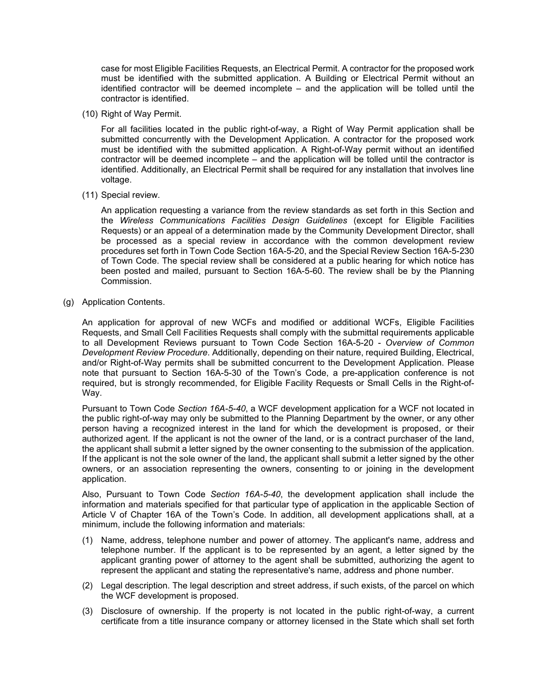case for most Eligible Facilities Requests, an Electrical Permit. A contractor for the proposed work must be identified with the submitted application. A Building or Electrical Permit without an identified contractor will be deemed incomplete – and the application will be tolled until the contractor is identified.

(10) Right of Way Permit.

For all facilities located in the public right-of-way, a Right of Way Permit application shall be submitted concurrently with the Development Application. A contractor for the proposed work must be identified with the submitted application. A Right-of-Way permit without an identified contractor will be deemed incomplete – and the application will be tolled until the contractor is identified. Additionally, an Electrical Permit shall be required for any installation that involves line voltage.

(11) Special review.

An application requesting a variance from the review standards as set forth in this Section and the *Wireless Communications Facilities Design Guidelines* (except for Eligible Facilities Requests) or an appeal of a determination made by the Community Development Director, shall be processed as a special review in accordance with the common development review procedures set forth in Town Code Section 16A-5-20, and the Special Review Section 16A-5-230 of Town Code. The special review shall be considered at a public hearing for which notice has been posted and mailed, pursuant to Section 16A-5-60. The review shall be by the Planning Commission.

(g) Application Contents.

An application for approval of new WCFs and modified or additional WCFs, Eligible Facilities Requests, and Small Cell Facilities Requests shall comply with the submittal requirements applicable to all Development Reviews pursuant to Town Code Section 16A-5-20 - *Overview of Common Development Review Procedure*. Additionally, depending on their nature, required Building, Electrical, and/or Right-of-Way permits shall be submitted concurrent to the Development Application. Please note that pursuant to Section 16A-5-30 of the Town's Code, a pre-application conference is not required, but is strongly recommended, for Eligible Facility Requests or Small Cells in the Right-of-Way.

Pursuant to Town Code *Section 16A-5-40*, a WCF development application for a WCF not located in the public right-of-way may only be submitted to the Planning Department by the owner, or any other person having a recognized interest in the land for which the development is proposed, or their authorized agent. If the applicant is not the owner of the land, or is a contract purchaser of the land, the applicant shall submit a letter signed by the owner consenting to the submission of the application. If the applicant is not the sole owner of the land, the applicant shall submit a letter signed by the other owners, or an association representing the owners, consenting to or joining in the development application.

Also, Pursuant to Town Code *Section 16A-5-40*, the development application shall include the information and materials specified for that particular type of application in the applicable Section of Article V of Chapter 16A of the Town's Code. In addition, all development applications shall, at a minimum, include the following information and materials:

- (1) Name, address, telephone number and power of attorney. The applicant's name, address and telephone number. If the applicant is to be represented by an agent, a letter signed by the applicant granting power of attorney to the agent shall be submitted, authorizing the agent to represent the applicant and stating the representative's name, address and phone number.
- (2) Legal description. The legal description and street address, if such exists, of the parcel on which the WCF development is proposed.
- (3) Disclosure of ownership. If the property is not located in the public right-of-way, a current certificate from a title insurance company or attorney licensed in the State which shall set forth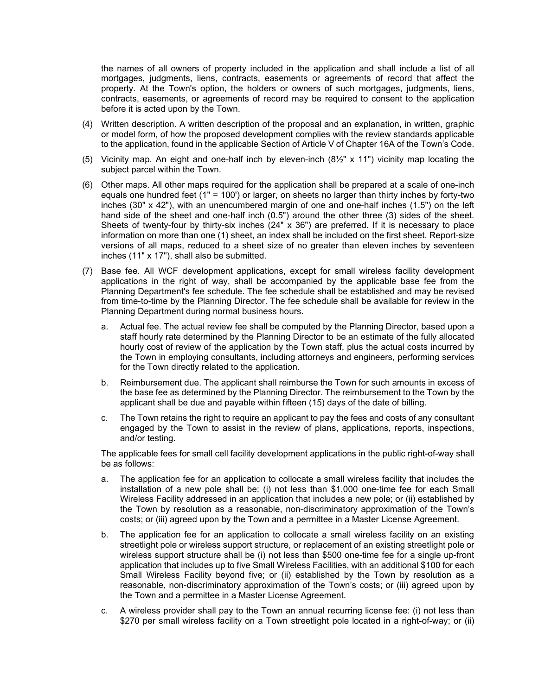the names of all owners of property included in the application and shall include a list of all mortgages, judgments, liens, contracts, easements or agreements of record that affect the property. At the Town's option, the holders or owners of such mortgages, judgments, liens, contracts, easements, or agreements of record may be required to consent to the application before it is acted upon by the Town.

- (4) Written description. A written description of the proposal and an explanation, in written, graphic or model form, of how the proposed development complies with the review standards applicable to the application, found in the applicable Section of Article V of Chapter 16A of the Town's Code.
- (5) Vicinity map. An eight and one-half inch by eleven-inch (8½" x 11") vicinity map locating the subject parcel within the Town.
- (6) Other maps. All other maps required for the application shall be prepared at a scale of one-inch equals one hundred feet (1" = 100') or larger, on sheets no larger than thirty inches by forty-two inches (30" x 42"), with an unencumbered margin of one and one-half inches (1.5") on the left hand side of the sheet and one-half inch (0.5") around the other three (3) sides of the sheet. Sheets of twenty-four by thirty-six inches (24" x 36") are preferred. If it is necessary to place information on more than one (1) sheet, an index shall be included on the first sheet. Report-size versions of all maps, reduced to a sheet size of no greater than eleven inches by seventeen inches (11" x 17"), shall also be submitted.
- (7) Base fee. All WCF development applications, except for small wireless facility development applications in the right of way, shall be accompanied by the applicable base fee from the Planning Department's fee schedule. The fee schedule shall be established and may be revised from time-to-time by the Planning Director. The fee schedule shall be available for review in the Planning Department during normal business hours.
	- a. Actual fee. The actual review fee shall be computed by the Planning Director, based upon a staff hourly rate determined by the Planning Director to be an estimate of the fully allocated hourly cost of review of the application by the Town staff, plus the actual costs incurred by the Town in employing consultants, including attorneys and engineers, performing services for the Town directly related to the application.
	- b. Reimbursement due. The applicant shall reimburse the Town for such amounts in excess of the base fee as determined by the Planning Director. The reimbursement to the Town by the applicant shall be due and payable within fifteen (15) days of the date of billing.
	- c. The Town retains the right to require an applicant to pay the fees and costs of any consultant engaged by the Town to assist in the review of plans, applications, reports, inspections, and/or testing.

The applicable fees for small cell facility development applications in the public right-of-way shall be as follows:

- a. The application fee for an application to collocate a small wireless facility that includes the installation of a new pole shall be: (i) not less than \$1,000 one-time fee for each Small Wireless Facility addressed in an application that includes a new pole; or (ii) established by the Town by resolution as a reasonable, non-discriminatory approximation of the Town's costs; or (iii) agreed upon by the Town and a permittee in a Master License Agreement.
- b. The application fee for an application to collocate a small wireless facility on an existing streetlight pole or wireless support structure, or replacement of an existing streetlight pole or wireless support structure shall be (i) not less than \$500 one-time fee for a single up-front application that includes up to five Small Wireless Facilities, with an additional \$100 for each Small Wireless Facility beyond five; or (ii) established by the Town by resolution as a reasonable, non-discriminatory approximation of the Town's costs; or (iii) agreed upon by the Town and a permittee in a Master License Agreement.
- c. A wireless provider shall pay to the Town an annual recurring license fee: (i) not less than \$270 per small wireless facility on a Town streetlight pole located in a right-of-way; or (ii)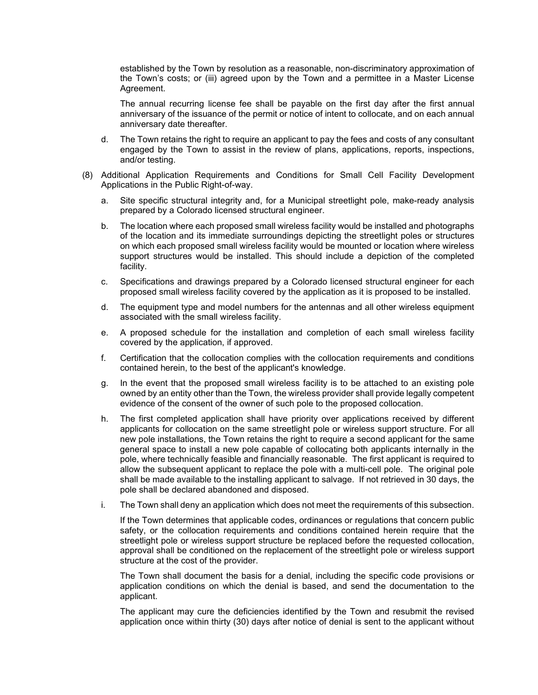established by the Town by resolution as a reasonable, non-discriminatory approximation of the Town's costs; or (iii) agreed upon by the Town and a permittee in a Master License Agreement.

The annual recurring license fee shall be payable on the first day after the first annual anniversary of the issuance of the permit or notice of intent to collocate, and on each annual anniversary date thereafter.

- d. The Town retains the right to require an applicant to pay the fees and costs of any consultant engaged by the Town to assist in the review of plans, applications, reports, inspections, and/or testing.
- (8) Additional Application Requirements and Conditions for Small Cell Facility Development Applications in the Public Right-of-way.
	- a. Site specific structural integrity and, for a Municipal streetlight pole, make-ready analysis prepared by a Colorado licensed structural engineer.
	- b. The location where each proposed small wireless facility would be installed and photographs of the location and its immediate surroundings depicting the streetlight poles or structures on which each proposed small wireless facility would be mounted or location where wireless support structures would be installed. This should include a depiction of the completed facility.
	- c. Specifications and drawings prepared by a Colorado licensed structural engineer for each proposed small wireless facility covered by the application as it is proposed to be installed.
	- d. The equipment type and model numbers for the antennas and all other wireless equipment associated with the small wireless facility.
	- e. A proposed schedule for the installation and completion of each small wireless facility covered by the application, if approved.
	- f. Certification that the collocation complies with the collocation requirements and conditions contained herein, to the best of the applicant's knowledge.
	- g. In the event that the proposed small wireless facility is to be attached to an existing pole owned by an entity other than the Town, the wireless provider shall provide legally competent evidence of the consent of the owner of such pole to the proposed collocation.
	- h. The first completed application shall have priority over applications received by different applicants for collocation on the same streetlight pole or wireless support structure. For all new pole installations, the Town retains the right to require a second applicant for the same general space to install a new pole capable of collocating both applicants internally in the pole, where technically feasible and financially reasonable. The first applicant is required to allow the subsequent applicant to replace the pole with a multi-cell pole. The original pole shall be made available to the installing applicant to salvage. If not retrieved in 30 days, the pole shall be declared abandoned and disposed.
	- i. The Town shall deny an application which does not meet the requirements of this subsection.

If the Town determines that applicable codes, ordinances or regulations that concern public safety, or the collocation requirements and conditions contained herein require that the streetlight pole or wireless support structure be replaced before the requested collocation, approval shall be conditioned on the replacement of the streetlight pole or wireless support structure at the cost of the provider.

The Town shall document the basis for a denial, including the specific code provisions or application conditions on which the denial is based, and send the documentation to the applicant.

The applicant may cure the deficiencies identified by the Town and resubmit the revised application once within thirty (30) days after notice of denial is sent to the applicant without